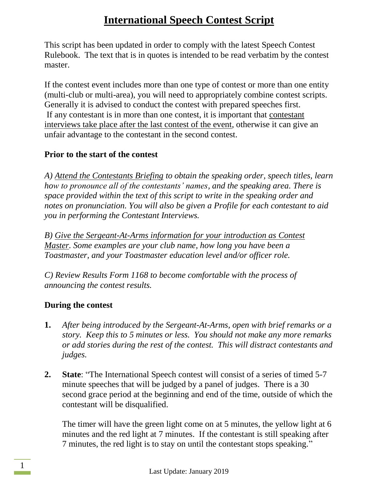This script has been updated in order to comply with the latest Speech Contest Rulebook. The text that is in quotes is intended to be read verbatim by the contest master.

If the contest event includes more than one type of contest or more than one entity (multi-club or multi-area), you will need to appropriately combine contest scripts. Generally it is advised to conduct the contest with prepared speeches first. If any contestant is in more than one contest, it is important that contestant interviews take place after the last contest of the event, otherwise it can give an unfair advantage to the contestant in the second contest.

#### **Prior to the start of the contest**

*A) Attend the Contestants Briefing to obtain the speaking order, speech titles, learn how to pronounce all of the contestants' names, and the speaking area. There is space provided within the text of this script to write in the speaking order and notes on pronunciation. You will also be given a Profile for each contestant to aid you in performing the Contestant Interviews.*

*B) Give the Sergeant-At-Arms information for your introduction as Contest Master. Some examples are your club name, how long you have been a Toastmaster, and your Toastmaster education level and/or officer role.*

*C) Review Results Form 1168 to become comfortable with the process of announcing the contest results.*

#### **During the contest**

- **1.** *After being introduced by the Sergeant-At-Arms, open with brief remarks or a story. Keep this to 5 minutes or less. You should not make any more remarks or add stories during the rest of the contest. This will distract contestants and judges.*
- **2. State**: "The International Speech contest will consist of a series of timed 5-7 minute speeches that will be judged by a panel of judges. There is a 30 second grace period at the beginning and end of the time, outside of which the contestant will be disqualified.

The timer will have the green light come on at 5 minutes, the yellow light at 6 minutes and the red light at 7 minutes. If the contestant is still speaking after 7 minutes, the red light is to stay on until the contestant stops speaking."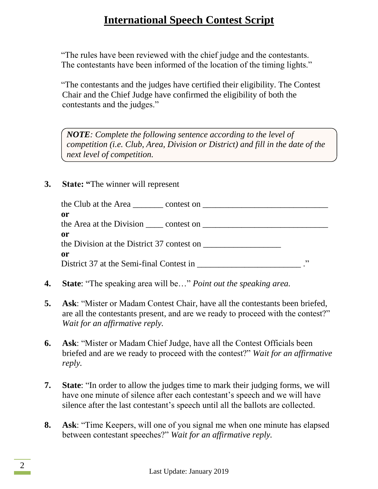"The rules have been reviewed with the chief judge and the contestants. The contestants have been informed of the location of the timing lights."

"The contestants and the judges have certified their eligibility. The Contest Chair and the Chief Judge have confirmed the eligibility of both the contestants and the judges."

*NOTE: Complete the following sentence according to the level of competition (i.e. Club, Area, Division or District) and fill in the date of the next level of competition.*

#### **3. State: "**The winner will represent

| or                                         |            |
|--------------------------------------------|------------|
|                                            |            |
| or                                         |            |
| the Division at the District 37 contest on |            |
| or                                         |            |
|                                            | <b>י</b> כ |

- **4. State**: "The speaking area will be…" *Point out the speaking area.*
- **5. Ask**: "Mister or Madam Contest Chair, have all the contestants been briefed, are all the contestants present, and are we ready to proceed with the contest?" *Wait for an affirmative reply.*
- **6. Ask**: "Mister or Madam Chief Judge, have all the Contest Officials been briefed and are we ready to proceed with the contest?" *Wait for an affirmative reply.*
- **7. State**: "In order to allow the judges time to mark their judging forms, we will have one minute of silence after each contestant's speech and we will have silence after the last contestant's speech until all the ballots are collected.
- **8. Ask**: "Time Keepers, will one of you signal me when one minute has elapsed between contestant speeches?" *Wait for an affirmative reply.*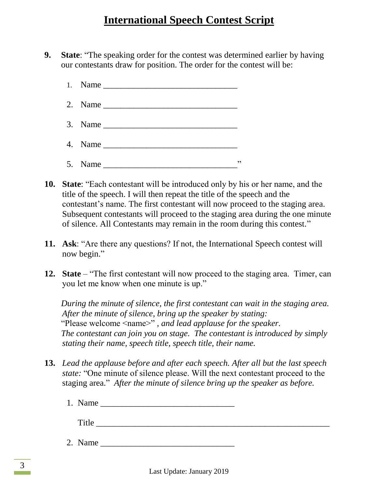- **9. State**: "The speaking order for the contest was determined earlier by having our contestants draw for position. The order for the contest will be:
	- $1.$  Name
	- 2. Name \_\_\_\_\_\_\_\_\_\_\_\_\_\_\_\_\_\_\_\_\_\_\_\_\_\_\_\_\_\_\_
	- $3.$  Name
	- 4. Name \_\_\_\_\_\_\_\_\_\_\_\_\_\_\_\_\_\_\_\_\_\_\_\_\_\_\_\_\_\_\_
	- 5. Name \_\_\_\_\_\_\_\_\_\_\_\_\_\_\_\_\_\_\_\_\_\_\_\_\_\_\_\_\_\_\_"
- **10. State**: "Each contestant will be introduced only by his or her name, and the title of the speech. I will then repeat the title of the speech and the contestant's name. The first contestant will now proceed to the staging area. Subsequent contestants will proceed to the staging area during the one minute of silence. All Contestants may remain in the room during this contest."
- **11. Ask**: "Are there any questions? If not, the International Speech contest will now begin."
- **12. State** "The first contestant will now proceed to the staging area. Timer, can you let me know when one minute is up."

*During the minute of silence, the first contestant can wait in the staging area. After the minute of silence, bring up the speaker by stating:* "Please welcome <name>" *, and lead applause for the speaker. The contestant can join you on stage. The contestant is introduced by simply stating their name, speech title, speech title, their name.*

- **13.** *Lead the applause before and after each speech. After all but the last speech state:* "One minute of silence please. Will the next contestant proceed to the staging area." *After the minute of silence bring up the speaker as before.*
	- 1. Name

Title  $\Box$ 

2. Name \_\_\_\_\_\_\_\_\_\_\_\_\_\_\_\_\_\_\_\_\_\_\_\_\_\_\_\_\_\_\_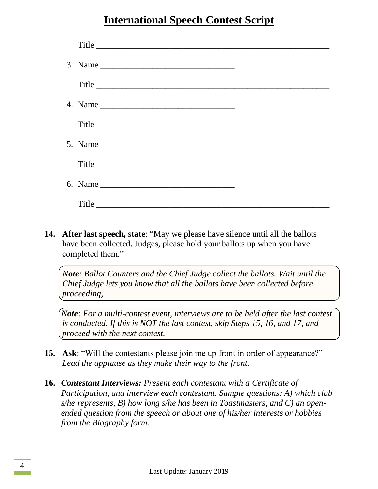| Title                                                                                                 |  |
|-------------------------------------------------------------------------------------------------------|--|
| 3. Name $\frac{1}{\sqrt{1-\frac{1}{2}}\sqrt{1-\frac{1}{2}}\sqrt{1-\frac{1}{2}}\sqrt{1-\frac{1}{2}}}}$ |  |
| Title                                                                                                 |  |
|                                                                                                       |  |
| Title                                                                                                 |  |
|                                                                                                       |  |
| Title                                                                                                 |  |
|                                                                                                       |  |
|                                                                                                       |  |

**14. After last speech,** s**tate**: "May we please have silence until all the ballots have been collected. Judges, please hold your ballots up when you have completed them."

*Note: Ballot Counters and the Chief Judge collect the ballots. Wait until the Chief Judge lets you know that all the ballots have been collected before proceeding,*

*Note: For a multi-contest event, interviews are to be held after the last contest is conducted. If this is NOT the last contest, skip Steps 15, 16, and 17, and proceed with the next contest.*

- **15. Ask**: "Will the contestants please join me up front in order of appearance?" *Lead the applause as they make their way to the front.*
- **16.** *Contestant Interviews: Present each contestant with a Certificate of Participation, and interview each contestant. Sample questions: A) which club s/he represents, B) how long s/he has been in Toastmasters, and C) an openended question from the speech or about one of his/her interests or hobbies from the Biography form.*